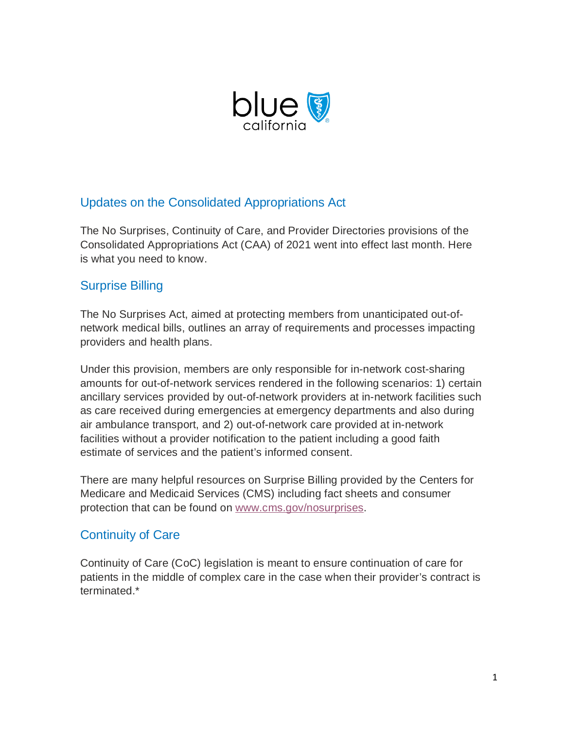

## Updates on the Consolidated Appropriations Act

The No Surprises, Continuity of Care, and Provider Directories provisions of the Consolidated Appropriations Act (CAA) of 2021 went into effect last month. Here is what you need to know.

## Surprise Billing

The No Surprises Act, aimed at protecting members from unanticipated out-ofnetwork medical bills, outlines an array of requirements and processes impacting providers and health plans.

Under this provision, members are only responsible for in-network cost-sharing amounts for out-of-network services rendered in the following scenarios: 1) certain ancillary services provided by out-of-network providers at in-network facilities such as care received during emergencies at emergency departments and also during air ambulance transport, and 2) out-of-network care provided at in-network facilities without a provider notification to the patient including a good faith estimate of services and the patient's informed consent.

There are many helpful resources on Surprise Billing provided by the Centers for Medicare and Medicaid Services (CMS) including fact sheets and consumer protection that can be found on [www.cms.gov/nosurprises.](https://urldefense.proofpoint.com/v2/url?u=https-3A__nam10.safelinks.protection.outlook.com_-3Furl-3Dhttps-253A-252F-252Furldefense.proofpoint.com-252Fv2-252Furl-253Fu-253Dhttps-2D3A-5F-5Fnam10.safelinks.protection.outlook.com-5F-2D3Furl-2D3Dhttps-2D253A-2D252F-2D252Fclick.info.blueshieldca.com-2D252F-2D253Fqs-2D253D15d68de419acb14c5a7ca90cec10f96855f7334a4541a339092b70b4d74c899f8b57d5ab90c2459b8f71c87a43132b0f132139fc31446fd9d561478b2795793f-2D26data-2D3D04-2D257C01-2D257C-2D257C47aee7b813b444e4962408d9f322336f-2D257Ca8e2991fe497485abc237fb2b6b1baba-2D257C0-2D257C0-2D257C637808150523704994-2D257CUnknown-2D257CTWFpbGZsb3d8eyJWIjoiMC4wLjAwMDAiLCJQIjoiV2luMzIiLCJBTiI6Ik1haWwiLCJXVCI6Mn0-2D253D-2D257C3000-2D26sdata-2D3Dp-2D252BoTkY5MymcBHp06HZroJNubK-2D252FWbbLKP7C5d1mA9-2D252BOA-2D253D-2D26reserved-2D3D0-2526d-253DDwMGaQ-2526c-253DhNAZrKxPkhfPADjr9wUJ4I9GS8ZQPNEcFQu4kKjVcNw-2526r-253DIGPNZipuDvscuad3VO1morHWXT4f1faU6OkgGq59jnnwpSV1VPU-2DHlnIdN53Kf62-2526m-253DlApNOLifN-2D9WRDM7-5F92QESDotbk4eBZMSgEnGHaiAzaTJRFGFk0K2On5Q-2DqWKbta-2526s-253Dzkzfg6JgunevL1t6gMCS4lPIoNyFBFeudHVpEpsKVbY-2526e-253D-26data-3D04-257C01-257C-257C7415f1a2dfb946ee43f608d9faf24b6f-257Ca8e2991fe497485abc237fb2b6b1baba-257C0-257C0-257C637816740837145044-257CUnknown-257CTWFpbGZsb3d8eyJWIjoiMC4wLjAwMDAiLCJQIjoiV2luMzIiLCJBTiI6Ik1haWwiLCJXVCI6Mn0-253D-257C3000-26sdata-3DTUqWFZWO5ovd-252B0wqz3Tk21-252BkhjlR-252F62KTD-252FixlZZi4g-253D-26reserved-3D0&d=DwMGaQ&c=hNAZrKxPkhfPADjr9wUJ4I9GS8ZQPNEcFQu4kKjVcNw&r=IGPNZipuDvscuad3VO1morHWXT4f1faU6OkgGq59jnnwpSV1VPU-HlnIdN53Kf62&m=VSbe7_7Ien2X65GylFKz2c7cUVz4H2pqf2EGqEVy2M2QJhoexymYAXLEcZ6bULtT&s=pez3IL91onzDcjY3J7uzV4VDWfiNb8z2QIbOlSvgHRU&e=)

## Continuity of Care

Continuity of Care (CoC) legislation is meant to ensure continuation of care for patients in the middle of complex care in the case when their provider's contract is terminated.\*